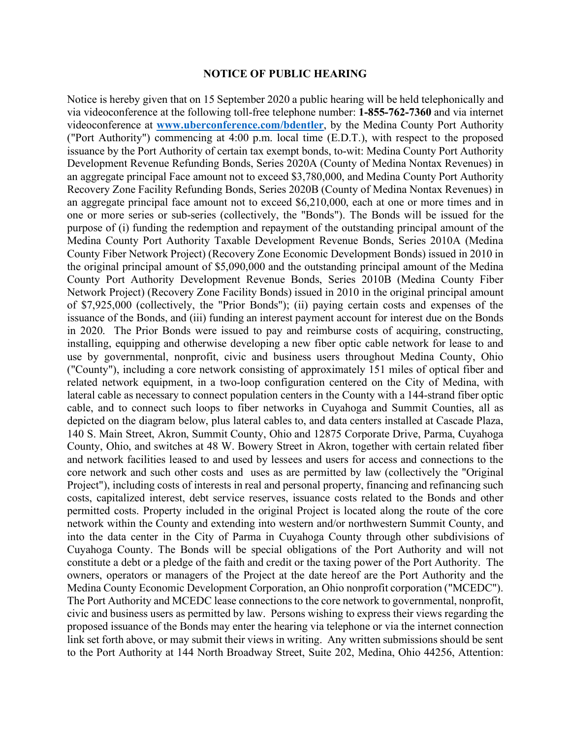## **NOTICE OF PUBLIC HEARING**

Notice is hereby given that on 15 September 2020 a public hearing will be held telephonically and via videoconference at the following toll-free telephone number: **1-855-762-7360** and via internet videoconference at **www.uberconference.com/bdentler**, by the Medina County Port Authority ("Port Authority") commencing at 4:00 p.m. local time (E.D.T.), with respect to the proposed issuance by the Port Authority of certain tax exempt bonds, to-wit: Medina County Port Authority Development Revenue Refunding Bonds, Series 2020A (County of Medina Nontax Revenues) in an aggregate principal Face amount not to exceed \$3,780,000, and Medina County Port Authority Recovery Zone Facility Refunding Bonds, Series 2020B (County of Medina Nontax Revenues) in an aggregate principal face amount not to exceed \$6,210,000, each at one or more times and in one or more series or sub-series (collectively, the "Bonds"). The Bonds will be issued for the purpose of (i) funding the redemption and repayment of the outstanding principal amount of the Medina County Port Authority Taxable Development Revenue Bonds, Series 2010A (Medina County Fiber Network Project) (Recovery Zone Economic Development Bonds) issued in 2010 in the original principal amount of \$5,090,000 and the outstanding principal amount of the Medina County Port Authority Development Revenue Bonds, Series 2010B (Medina County Fiber Network Project) (Recovery Zone Facility Bonds) issued in 2010 in the original principal amount of \$7,925,000 (collectively, the "Prior Bonds"); (ii) paying certain costs and expenses of the issuance of the Bonds, and (iii) funding an interest payment account for interest due on the Bonds in 2020. The Prior Bonds were issued to pay and reimburse costs of acquiring, constructing, installing, equipping and otherwise developing a new fiber optic cable network for lease to and use by governmental, nonprofit, civic and business users throughout Medina County, Ohio ("County"), including a core network consisting of approximately 151 miles of optical fiber and related network equipment, in a two-loop configuration centered on the City of Medina, with lateral cable as necessary to connect population centers in the County with a 144-strand fiber optic cable, and to connect such loops to fiber networks in Cuyahoga and Summit Counties, all as depicted on the diagram below, plus lateral cables to, and data centers installed at Cascade Plaza, 140 S. Main Street, Akron, Summit County, Ohio and 12875 Corporate Drive, Parma, Cuyahoga County, Ohio, and switches at 48 W. Bowery Street in Akron, together with certain related fiber and network facilities leased to and used by lessees and users for access and connections to the core network and such other costs and uses as are permitted by law (collectively the "Original Project"), including costs of interests in real and personal property, financing and refinancing such costs, capitalized interest, debt service reserves, issuance costs related to the Bonds and other permitted costs. Property included in the original Project is located along the route of the core network within the County and extending into western and/or northwestern Summit County, and into the data center in the City of Parma in Cuyahoga County through other subdivisions of Cuyahoga County. The Bonds will be special obligations of the Port Authority and will not constitute a debt or a pledge of the faith and credit or the taxing power of the Port Authority. The owners, operators or managers of the Project at the date hereof are the Port Authority and the Medina County Economic Development Corporation, an Ohio nonprofit corporation ("MCEDC"). The Port Authority and MCEDC lease connections to the core network to governmental, nonprofit, civic and business users as permitted by law. Persons wishing to express their views regarding the proposed issuance of the Bonds may enter the hearing via telephone or via the internet connection link set forth above, or may submit their views in writing. Any written submissions should be sent to the Port Authority at 144 North Broadway Street, Suite 202, Medina, Ohio 44256, Attention: